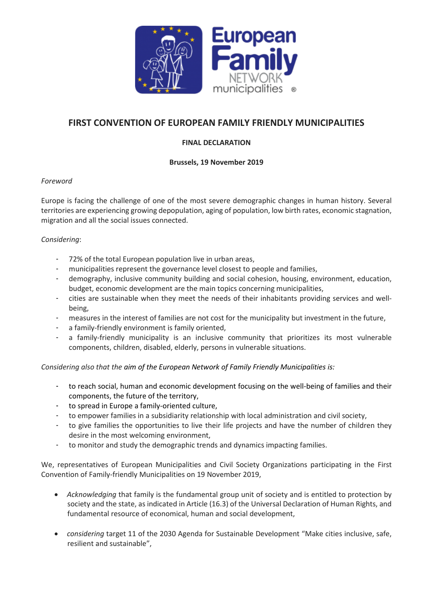

# **FIRST CONVENTION OF EUROPEAN FAMILY FRIENDLY MUNICIPALITIES**

### **FINAL DECLARATION**

#### **Brussels, 19 November 2019**

#### *Foreword*

Europe is facing the challenge of one of the most severe demographic changes in human history. Several territories are experiencing growing depopulation, aging of population, low birth rates, economic stagnation, migration and all the social issues connected.

## *Considering*:

- 72% of the total European population live in urban areas,
- municipalities represent the governance level closest to people and families,
- demography, inclusive community building and social cohesion, housing, environment, education, budget, economic development are the main topics concerning municipalities,
- cities are sustainable when they meet the needs of their inhabitants providing services and wellbeing,
- measures in the interest of families are not cost for the municipality but investment in the future,
- a family-friendly environment is family oriented,
- a family-friendly municipality is an inclusive community that prioritizes its most vulnerable components, children, disabled, elderly, persons in vulnerable situations.

#### *Considering also that the aim of the European Network of Family Friendly Municipalities is:*

- to reach social, human and economic development focusing on the well-being of families and their components, the future of the territory,
- to spread in Europe a family-oriented culture,
- to empower families in a subsidiarity relationship with local administration and civil society,
- to give families the opportunities to live their life projects and have the number of children they desire in the most welcoming environment,
- to monitor and study the demographic trends and dynamics impacting families.

We, representatives of European Municipalities and Civil Society Organizations participating in the First Convention of Family-friendly Municipalities on 19 November 2019,

- *Acknowledging* that family is the fundamental group unit of society and is entitled to protection by society and the state, as indicated in Article (16.3) of the Universal Declaration of Human Rights, and fundamental resource of economical, human and social development,
- *considering* target 11 of the 2030 Agenda for Sustainable Development "Make cities inclusive, safe, resilient and sustainable",